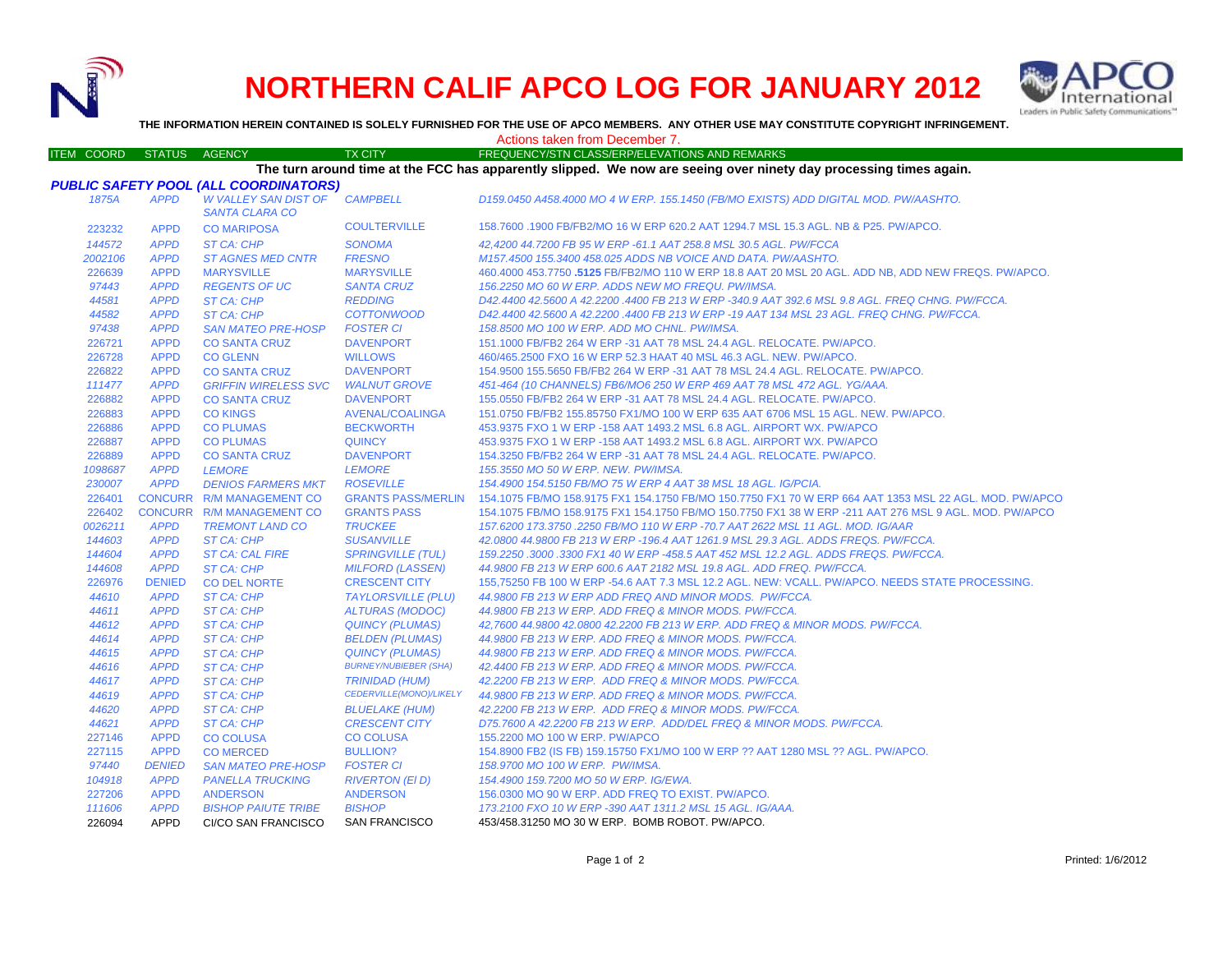

226094 APPD CI/CO SAN FRANCISCO

## **NORTHERN CALIF APCO LOG FOR JANUARY 2012**



**THE INFORMATION HEREIN CONTAINED IS SOLELY FURNISHED FOR THE USE OF APCO MEMBERS. ANY OTHER USE MAY CONSTITUTE COPYRIGHT INFRINGEMENT.**

Actions taken from December 7.

## ITEM COORD STATUS AGENCY TX CITY TREQUENCY/STN CLASS/ERP/ELEVATIONS AND REMARKS *PUBLIC SAFETY POOL (ALL COORDINATORS) 1875A APPD W VALLEY SAN DIST OF SANTA CLARA COCAMPBELL D159.0450 A458.4000 MO 4 W ERP. 155.1450 (FB/MO EXISTS) ADD DIGITAL MOD. PW/AASHTO.* 223232 APPD CO MARIPOSA COULTERVILLE 158.7600 .1900 FB/FB2/MO 16 W ERP 620.2 AAT 1294.7 MSL 15.3 AGL. NB & P25. PW/APCO. *144572 APPD ST CA: CHP SONOMA 42,4200 44.7200 FB 95 W ERP -61.1 AAT 258.8 MSL 30.5 AGL. PW/FCCA 2002106 APPD ST AGNES MED CNTR FRESNO M157.4500 155.3400 458.025 ADDS NB VOICE AND DATA. PW/AASHTO.* 226639 APPD**MARYSVILLE**  MARYSVILLE 460.4000 453.7750 **.5125** FB/FB2/MO 110 W ERP 18.8 AAT 20 MSL 20 AGL. ADD NB, ADD NEW FREQS. PW/APCO. *97443 APPD REGENTS OF UC SANTA CRUZ 156.2250 MO 60 W ERP. ADDS NEW MO FREQU. PW/IMSA. 44581 APPD ST CA: CHP REDDING D42.4400 42.5600 A 42.2200 .4400 FB 213 W ERP -340.9 AAT 392.6 MSL 9.8 AGL. FREQ CHNG. PW/FCCA. 44582 APPD ST CA: CHP COTTONWOOD D42.4400 42.5600 A 42.2200 .4400 FB 213 W ERP -19 AAT 134 MSL 23 AGL. FREQ CHNG. PW/FCCA. 97438 APPD SAN MATEO PRE-HOSP FOSTER CI 158.8500 MO 100 W ERP. ADD MO CHNL. PW/IMSA.* 226721 APPD CO SANTA CRUZ DAVENPORT 151.1000 FB/FB2 264 W ERP -31 AAT 78 MSL 24.4 AGL. RELOCATE. PW/APCO. 226728 APPD CO GLENN WILLOWS 460/465.2500 FXO 16 W ERP 52.3 HAAT 40 MSL 46.3 AGL. NEW. PW/APCO. 226822 APPD CO SANTA CRUZ DAVENPORT 154.9500 155.5650 FB/FB2 264 W ERP -31 AAT 78 MSL 24.4 AGL. RELOCATE. PW/APCO. *111477 APPD GRIFFIN WIRELESS SVC WALNUT GROVE 451-464 (10 CHANNELS) FB6/MO6 250 W ERP 469 AAT 78 MSL 472 AGL. YG/AAA.* 226882 APPD CO SANTA CRUZ DAVENPORT 155.0550 FB/FB2 264 W ERP -31 AAT 78 MSL 24.4 AGL. RELOCATE. PW/APCO. 226883 APPD CO KINGS AVENAL/COALINGA 151.0750 FB/FB2 155.85750 FX1/MO 100 W ERP 635 AAT 6706 MSL 15 AGL. NEW. PW/APCO. 226886 APPD CO PLUMAS BECKWORTH 453.9375 FXO 1 W ERP -158 AAT 1493.2 MSL 6.8 AGL. AIRPORT WX. PW/APCO 226887 APPD CO PLUMAS QUINCY 453.9375 FXO 1 W ERP -158 AAT 1493.2 MSL 6.8 AGL. AIRPORT WX. PW/APCO 226889 APPD CO SANTA CRUZ DAVENPORT 154.3250 FB/FB2 264 W ERP -31 AAT 78 MSL 24.4 AGL. RELOCATE. PW/APCO. *1098687 APPD LEMORE LEMORE 155.3550 MO 50 W ERP. NEW. PW/IMSA. 230007 APPD DENIOS FARMERS MKT ROSEVILLE 154.4900 154.5150 FB/MO 75 W ERP 4 AAT 38 MSL 18 AGL. IG/PCIA.* 226401 CONCURR R/M MANAGEMENT CO GRANTS PASS/MERLIN 154.1075 FB/MO 158.9175 FX1 154.1750 FB/MO 150.7750 FX1 70 W ERP 664 AAT 1353 MSL 22 AGL. MOD. PW/APCO 226402 CONCURR R/M MANAGEMENT CO GRANTS PASS 154.1075 FB/MO 158.9175 FX1 154.1750 FB/MO 150.7750 FX1 38 W ERP -211 AAT 276 MSL 9 AGL. MOD. PW/APCO *0026211 APPD TREMONT LAND CO TRUCKEE 157.6200 173.3750 .2250 FB/MO 110 W ERP -70.7 AAT 2622 MSL 11 AGL. MOD. IG/AAR 144603 APPD ST CA: CHP SUSANVILLE 42.0800 44.9800 FB 213 W ERP -196.4 AAT 1261.9 MSL 29.3 AGL. ADDS FREQS. PW/FCCA. 144604 APPD ST CA: CAL FIRE SPRINGVILLE (TUL) 159.2250 .3000 .3300 FX1 40 W ERP -458.5 AAT 452 MSL 12.2 AGL. ADDS FREQS. PW/FCCA. 144608 APPD ST CA: CHP MILFORD (LASSEN) 44.9800 FB 213 W ERP 600.6 AAT 2182 MSL 19.8 AGL. ADD FREQ. PW/FCCA.* 226976 DENIED CO DEL NORTE CRESCENT CITY 155,75250 FB 100 W ERP -54.6 AAT 7.3 MSL 12.2 AGL. NEW: VCALL. PW/APCO. NEEDS STATE PROCESSING. *44610 APPD ST CA: CHP TAYLORSVILLE (PLU) 44.9800 FB 213 W ERP ADD FREQ AND MINOR MODS. PW/FCCA. 44611 APPD ST CA: CHP ALTURAS (MODOC) 44.9800 FB 213 W ERP. ADD FREQ & MINOR MODS. PW/FCCA. 44612 APPD ST CA: CHP QUINCY (PLUMAS) 42,7600 44.9800 42.0800 42.2200 FB 213 W ERP. ADD FREQ & MINOR MODS. PW/FCCA. 44614 APPD ST CA: CHP BELDEN (PLUMAS) 44.9800 FB 213 W ERP. ADD FREQ & MINOR MODS. PW/FCCA. 44615 APPD ST CA: CHP QUINCY (PLUMAS) 44.9800 FB 213 W ERP. ADD FREQ & MINOR MODS. PW/FCCA. 44616 APPD ST CA: CHP BURNEY/NUBIEBER (SHA) 42.4400 FB 213 W ERP. ADD FREQ & MINOR MODS. PW/FCCA. 44617 APPD ST CA: CHP TRINIDAD (HUM) 42.2200 FB 213 W ERP. ADD FREQ & MINOR MODS. PW/FCCA. 44619 APPD ST CA: CHP CEDERVILLE(MONO)/LIKELY*  **BLUELAKE (HUM)** *44.9800 FB 213 W ERP. ADD FREQ & MINOR MODS. PW/FCCA. 44620 APPD ST CA: CHP BLUELAKE (HUM) 42.2200 FB 213 W ERP. ADD FREQ & MINOR MODS. PW/FCCA. 44621 APPD ST CA: CHP CRESCENT CITY D75.7600 A 42.2200 FB 213 W ERP. ADD/DEL FREQ & MINOR MODS. PW/FCCA.* 227146 APPD CO COLUSA CO COLUSA 155.2200 MO 100 W ERP. PW/APCO 227115 APPD CO MERCED BULLION? 154.8900 FB2 (IS FB) 159.15750 FX1/MO 100 W ERP ?? AAT 1280 MSL ?? AGL. PW/APCO. *97440 DENIED SAN MATEO PRE-HOSP FOSTER CI 158.9700 MO 100 W ERP. PW/IMSA. 104918 APPD PANELLA TRUCKING RIVERTON (El D) 154.4900 159.7200 MO 50 W ERP. IG/EWA.* 227206 APPD ANDERSON ANDERSON 156.0300 MO 90 W ERP. ADD FREQ TO EXIST. PW/APCO. *111606 APPD BISHOP PAIUTE TRIBE BISHOP 173.2100 FXO 10 W ERP -390 AAT 1311.2 MSL 15 AGL. IG/AAA.* **The turn around time at the FCC has apparently slipped. We now are seeing over ninety day processing times again.**

SAN FRANCISCO 453/458.31250 MO 30 W ERP. BOMB ROBOT. PW/APCO.